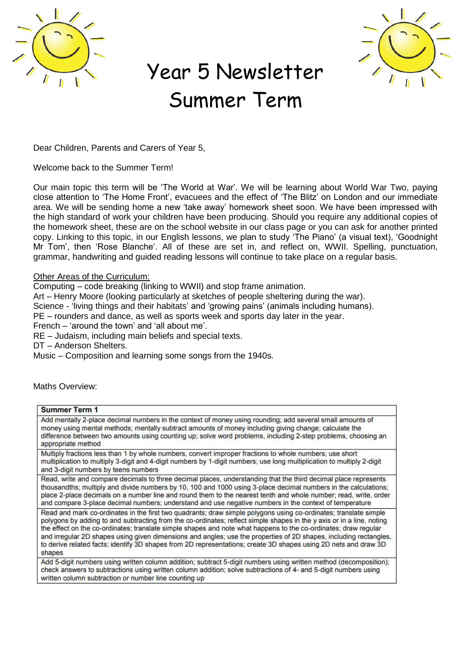

## Year 5 Newsletter Summer Term



Dear Children, Parents and Carers of Year 5,

Welcome back to the Summer Term!

Our main topic this term will be 'The World at War'. We will be learning about World War Two, paying close attention to 'The Home Front', evacuees and the effect of 'The Blitz' on London and our immediate area. We will be sending home a new 'take away' homework sheet soon. We have been impressed with the high standard of work your children have been producing. Should you require any additional copies of the homework sheet, these are on the school website in our class page or you can ask for another printed copy. Linking to this topic, in our English lessons, we plan to study 'The Piano' (a visual text), 'Goodnight Mr Tom', then 'Rose Blanche'. All of these are set in, and reflect on, WWII. Spelling, punctuation, grammar, handwriting and guided reading lessons will continue to take place on a regular basis.

## **Other Areas of the Curriculum:**

Computing – code breaking (linking to WWII) and stop frame animation.

Art – Henry Moore (looking particularly at sketches of people sheltering during the war).

Science - 'living things and their habitats' and 'growing pains' (animals including humans).

PE – rounders and dance, as well as sports week and sports day later in the year.

French – 'around the town' and 'all about me'.

RE – Judaism, including main beliefs and special texts.

DT – Anderson Shelters.

Music – Composition and learning some songs from the 1940s.

Maths Overview:

| <b>Summer Term 1</b>                                                                                                                                                                                                                                                                                                                                                                                                                                                                                                                                                                                           |
|----------------------------------------------------------------------------------------------------------------------------------------------------------------------------------------------------------------------------------------------------------------------------------------------------------------------------------------------------------------------------------------------------------------------------------------------------------------------------------------------------------------------------------------------------------------------------------------------------------------|
| Add mentally 2-place decimal numbers in the context of money using rounding; add several small amounts of<br>money using mental methods; mentally subtract amounts of money including giving change; calculate the<br>difference between two amounts using counting up; solve word problems, including 2-step problems, choosing an<br>appropriate method                                                                                                                                                                                                                                                      |
| Multiply fractions less than 1 by whole numbers, convert improper fractions to whole numbers; use short<br>multiplication to multiply 3-digit and 4-digit numbers by 1-digit numbers; use long multiplication to multiply 2-digit<br>and 3-digit numbers by teens numbers                                                                                                                                                                                                                                                                                                                                      |
| Read, write and compare decimals to three decimal places, understanding that the third decimal place represents<br>thousandths; multiply and divide numbers by 10, 100 and 1000 using 3-place decimal numbers in the calculations;<br>place 2-place decimals on a number line and round them to the nearest tenth and whole number; read, write, order<br>and compare 3-place decimal numbers; understand and use negative numbers in the context of temperature                                                                                                                                               |
| Read and mark co-ordinates in the first two quadrants; draw simple polygons using co-ordinates; translate simple<br>polygons by adding to and subtracting from the co-ordinates; reflect simple shapes in the y axis or in a line, noting<br>the effect on the co-ordinates; translate simple shapes and note what happens to the co-ordinates; draw regular<br>and irregular 2D shapes using given dimensions and angles; use the properties of 2D shapes, including rectangles,<br>to derive related facts; identify 3D shapes from 2D representations; create 3D shapes using 2D nets and draw 3D<br>shapes |
| Add 5-digit numbers using written column addition; subtract 5-digit numbers using written method (decomposition);<br>check answers to subtractions using written column addition; solve subtractions of 4- and 5-digit numbers using<br>written column subtraction or number line counting up                                                                                                                                                                                                                                                                                                                  |